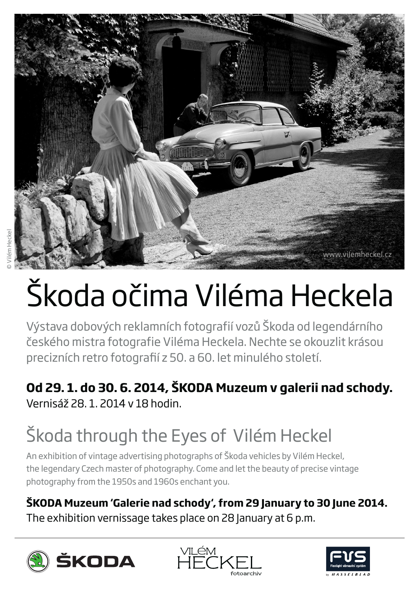

# Škoda očima Viléma Heckela

Výstava dobových reklamních fotografií vozů Škoda od legendárního českého mistra fotografie Viléma Heckela. Nechte se okouzlit krásou precizních retro fotografií z 50. a 60. let minulého století.

#### **Od 29. 1. do 30. 6. 2014, ŠKODA Muzeum v galerii nad schody.** Vernisáž 28. 1. 2014 v 18 hodin.

# Škoda through the Eyes of Vilém Heckel

An exhibition of vintage advertising photographs of Škoda vehicles by Vilém Heckel, the legendary Czech master of photography. Come and let the beauty of precise vintage photography from the 1950s and 1960s enchant you.

#### **ŠKODA Muzeum 'Galerie nad schody', from 29 January to 30 June 2014.**

The exhibition vernissage takes place on 28 January at 6 p.m.





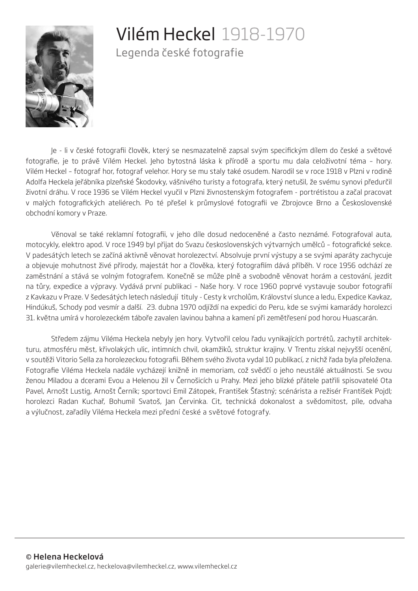

### Vilém Heckel 1918-1970

Legenda české fotografie

Je - li v české fotografii člověk, který se nesmazatelně zapsal svým specifickým dílem do české a světové fotografie, je to právě Vïlém Heckel. Jeho bytostná láska k přírodě a sportu mu dala celoživotní téma – hory. Vilém Heckel – fotograf hor, fotograf velehor. Hory se mu staly také osudem. Narodil se v roce 1918 v Plzni v rodině Adolfa Heckela jeřábníka plzeňské Škodovky, vášnivého turisty a fotografa, který netušil, že svému synovi předurčil životní dráhu. V roce 1936 se Vilém Heckel vyučil v Plzni živnostenským fotografem - portrétistou a začal pracovat v malých fotografických ateliérech. Po té přešel k průmyslové fotografii ve Zbrojovce Brno a Československé obchodní komory v Praze.

Věnoval se také reklamní fotografii, v jeho díle dosud nedoceněné a často neznámé. Fotografoval auta, motocykly, elektro apod. V roce 1949 byl přijat do Svazu československých výtvarných umělců – fotografické sekce. V padesátých letech se začíná aktivně věnovat horolezectví. Absolvuje první výstupy a se svými aparáty zachycuje a objevuje mohutnost živé přírody, majestát hor a člověka, který fotografiím dává příběh. V roce 1956 odchází ze zaměstnání a stává se volným fotografem. Konečně se může plně a svobodně věnovat horám a cestování, jezdit na tůry, expedice a výpravy. Vydává první publikaci – Naše hory. V roce 1960 poprvé vystavuje soubor fotografií z Kavkazu v Praze. V šedesátých letech následují tituly - Cesty k vrcholům, Království slunce a ledu, Expedice Kavkaz, Hindúkuš, Schody pod vesmír a další. 23. dubna 1970 odjíždí na expedici do Peru, kde se svými kamarády horolezci 31. května umírá v horolezeckém táboře zavalen lavinou bahna a kamení při zemětřesení pod horou Huascarán.

Středem zájmu Viléma Heckela nebyly jen hory. Vytvořil celou řadu vynikajících portrétů, zachytil architekturu, atmosféru měst, křivolakých ulic, intimních chvil, okamžiků, struktur krajiny. V Trentu získal nejvyšší ocenění, v soutěži Vitorio Sella za horolezeckou fotografii. Během svého života vydal 10 publikací, z nichž řada byla přeložena. Fotografie Viléma Heckela nadále vycházejí knižně in memoriam, což svědčí o jeho neustálé aktuálnosti. Se svou ženou Miladou a dcerami Evou a Helenou žil v Černošicích u Prahy. Mezi jeho blízké přátele patřili spisovatelé Ota Pavel, Arnošt Lustig, Arnošt Černík; sportovci Emil Zátopek, František Šťastný; scénárista a režisér František Pojdl; horolezci Radan Kuchař, Bohumil Svatoš, Jan Červinka. Cit, technická dokonalost a svědomitost, píle, odvaha a výlučnost, zařadily Viléma Heckela mezi přední české a světové fotografy.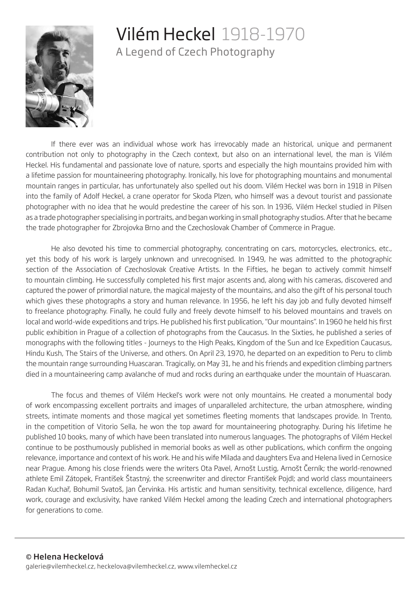

## Vilém Heckel 1918-1970

A Legend of Czech Photography

If there ever was an individual whose work has irrevocably made an historical, unique and permanent contribution not only to photography in the Czech context, but also on an international level, the man is Vilém Heckel. His fundamental and passionate love of nature, sports and especially the high mountains provided him with a lifetime passion for mountaineering photography. Ironically, his love for photographing mountains and monumental mountain ranges in particular, has unfortunately also spelled out his doom. Vilém Heckel was born in 1918 in Pilsen into the family of Adolf Heckel, a crane operator for Skoda Plzen, who himself was a devout tourist and passionate photographer with no idea that he would predestine the career of his son. In 1936, Vilém Heckel studied in Pilsen as a trade photographer specialising in portraits, and began working in small photography studios. After that he became the trade photographer for Zbrojovka Brno and the Czechoslovak Chamber of Commerce in Prague.

He also devoted his time to commercial photography, concentrating on cars, motorcycles, electronics, etc., yet this body of his work is largely unknown and unrecognised. In 1949, he was admitted to the photographic section of the Association of Czechoslovak Creative Artists. In the Fifties, he began to actively commit himself to mountain climbing. He successfully completed his first major ascents and, along with his cameras, discovered and captured the power of primordial nature, the magical majesty of the mountains, and also the gift of his personal touch which gives these photographs a story and human relevance. In 1956, he left his day job and fully devoted himself to freelance photography. Finally, he could fully and freely devote himself to his beloved mountains and travels on local and world-wide expeditions and trips. He published his first publication, "Our mountains". In 1960 he held his first public exhibition in Prague of a collection of photographs from the Caucasus. In the Sixties, he published a series of monographs with the following titles - Journeys to the High Peaks, Kingdom of the Sun and Ice Expedition Caucasus, Hindu Kush, The Stairs of the Universe, and others. On April 23, 1970, he departed on an expedition to Peru to climb the mountain range surrounding Huascaran. Tragically, on May 31, he and his friends and expedition climbing partners died in a mountaineering camp avalanche of mud and rocks during an earthquake under the mountain of Huascaran.

The focus and themes of Vilém Heckel's work were not only mountains. He created a monumental body of work encompassing excellent portraits and images of unparalleled architecture, the urban atmosphere, winding streets, intimate moments and those magical yet sometimes fleeting moments that landscapes provide. In Trento, in the competition of Vitorio Sella, he won the top award for mountaineering photography. During his lifetime he published 10 books, many of which have been translated into numerous languages. The photographs of Vilém Heckel continue to be posthumously published in memorial books as well as other publications, which confirm the ongoing relevance, importance and context of his work. He and his wife Milada and daughters Eva and Helena lived in Cernosice near Prague. Among his close friends were the writers Ota Pavel, Arnošt Lustig, Arnošt Černík; the world-renowned athlete Emil Zátopek, František Štastný, the screenwriter and director František Pojdl; and world class mountaineers Radan Kuchař, Bohumil Svatoš, Jan Červinka. His artistic and human sensitivity, technical excellence, diligence, hard work, courage and exclusivity, have ranked Vilém Heckel among the leading Czech and international photographers for generations to come.